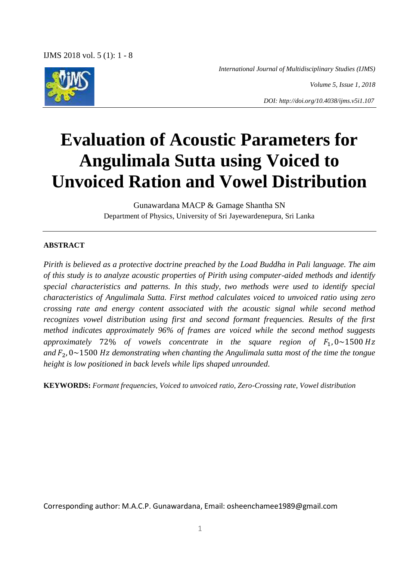*International Journal of Multidisciplinary Studies (IJMS)*

*Volume 5, Issue 1, 2018*

*DOI: http://doi.org/10.4038/ijms.v5i1.107*

# **Evaluation of Acoustic Parameters for Angulimala Sutta using Voiced to Unvoiced Ration and Vowel Distribution**

Gunawardana MACP & Gamage Shantha SN Department of Physics, University of Sri Jayewardenepura, Sri Lanka

## **ABSTRACT**

*Pirith is believed as a protective doctrine preached by the Load Buddha in Pali language. The aim of this study is to analyze acoustic properties of Pirith using computer-aided methods and identify special characteristics and patterns. In this study, two methods were used to identify special characteristics of Angulimala Sutta. First method calculates voiced to unvoiced ratio using zero crossing rate and energy content associated with the acoustic signal while second method recognizes vowel distribution using first and second formant frequencies. Results of the first method indicates approximately 96% of frames are voiced while the second method suggests approximately* 72% of vowels concentrate in the square region of  $F_1$ ,  $0 \sim 1500$  Hz and  $F_2$ ,  $0 \sim 1500$  Hz demonstrating when chanting the Angulimala sutta most of the time the tongue *height is low positioned in back levels while lips shaped unrounded.*

**KEYWORDS:** *Formant frequencies, Voiced to unvoiced ratio, Zero-Crossing rate, Vowel distribution* 

Corresponding author: M.A.C.P. Gunawardana, Email: osheenchamee1989@gmail.com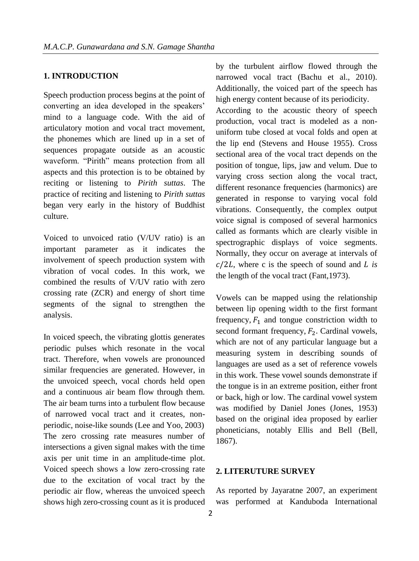## **1. INTRODUCTION**

Speech production process begins at the point of converting an idea developed in the speakers' mind to a language code. With the aid of articulatory motion and vocal tract movement, the phonemes which are lined up in a set of sequences propagate outside as an acoustic waveform. "Pirith" means protection from all aspects and this protection is to be obtained by reciting or listening to *Pirith suttas*. The practice of reciting and listening to *Pirith suttas* began very early in the history of Buddhist culture.

Voiced to unvoiced ratio (V/UV ratio) is an important parameter as it indicates the involvement of speech production system with vibration of vocal codes. In this work, we combined the results of V/UV ratio with zero crossing rate (ZCR) and energy of short time segments of the signal to strengthen the analysis.

In voiced speech, the vibrating glottis generates periodic pulses which resonate in the vocal tract. Therefore, when vowels are pronounced similar frequencies are generated. However, in the unvoiced speech, vocal chords held open and a continuous air beam flow through them. The air beam turns into a turbulent flow because of narrowed vocal tract and it creates, nonperiodic, noise-like sounds (Lee and Yoo, 2003) The zero crossing rate measures number of intersections a given signal makes with the time axis per unit time in an amplitude-time plot. Voiced speech shows a low zero-crossing rate due to the excitation of vocal tract by the periodic air flow, whereas the unvoiced speech shows high zero-crossing count as it is produced by the turbulent airflow flowed through the narrowed vocal tract (Bachu et al., 2010). Additionally, the voiced part of the speech has high energy content because of its periodicity.

According to the acoustic theory of speech production, vocal tract is modeled as a nonuniform tube closed at vocal folds and open at the lip end (Stevens and House 1955). Cross sectional area of the vocal tract depends on the position of tongue, lips, jaw and velum. Due to varying cross section along the vocal tract, different resonance frequencies (harmonics) are generated in response to varying vocal fold vibrations. Consequently, the complex output voice signal is composed of several harmonics called as formants which are clearly visible in spectrographic displays of voice segments. Normally, they occur on average at intervals of  $c/2L$ , where c is the speech of sound and *L* is the length of the vocal tract (Fant,1973).

Vowels can be mapped using the relationship between lip opening width to the first formant frequency,  $F_1$  and tongue constriction width to second formant frequency,  $F_2$ . Cardinal vowels, which are not of any particular language but a measuring system in describing sounds of languages are used as a set of reference vowels in this work. These vowel sounds demonstrate if the tongue is in an extreme position, either front or back, high or low. The cardinal vowel system was modified by Daniel Jones (Jones, 1953) based on the original idea proposed by earlier phoneticians, notably Ellis and Bell (Bell, 1867).

#### **2. LITERUTURE SURVEY**

As reported by Jayaratne 2007, an experiment was performed at Kanduboda International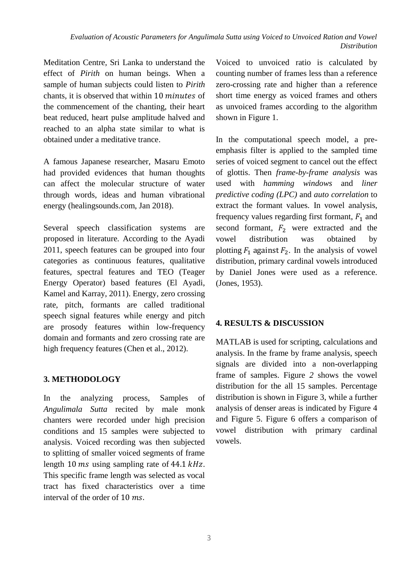Meditation Centre, Sri Lanka to understand the effect of *Pirith* on human beings. When a sample of human subjects could listen to *Pirith*  chants, it is observed that within 10 minutes of the commencement of the chanting, their heart beat reduced, heart pulse amplitude halved and reached to an alpha state similar to what is obtained under a meditative trance.

A famous Japanese researcher, Masaru Emoto had provided evidences that human thoughts can affect the molecular structure of water through words, ideas and human vibrational energy (healingsounds.com, Jan 2018).

Several speech classification systems are proposed in literature. According to the Ayadi 2011, speech features can be grouped into four categories as continuous features, qualitative features, spectral features and TEO (Teager Energy Operator) based features (El Ayadi, Kamel and Karray, 2011). Energy, zero crossing rate, pitch, formants are called traditional speech signal features while energy and pitch are prosody features within low-frequency domain and formants and zero crossing rate are high frequency features (Chen et al., 2012).

## **3. METHODOLOGY**

In the analyzing process, Samples of *Angulimala Sutta* recited by male monk chanters were recorded under high precision conditions and 15 samples were subjected to analysis. Voiced recording was then subjected to splitting of smaller voiced segments of frame length 10 ms using sampling rate of 44.1  $kHz$ . This specific frame length was selected as vocal tract has fixed characteristics over a time interval of the order of 10 ms.

Voiced to unvoiced ratio is calculated by counting number of frames less than a reference zero-crossing rate and higher than a reference short time energy as voiced frames and others as unvoiced frames according to the algorithm shown in Figure 1.

In the computational speech model, a preemphasis filter is applied to the sampled time series of voiced segment to cancel out the effect of glottis. Then *frame-by-frame analysis* was used with *hamming windows* and *liner predictive coding (LPC)* and *auto correlation* to extract the formant values. In vowel analysis, frequency values regarding first formant,  $F_1$  and second formant,  $F_2$  were extracted and the vowel distribution was obtained by plotting  $F_1$  against  $F_2$ . In the analysis of vowel distribution, primary cardinal vowels introduced by Daniel Jones were used as a reference. (Jones, 1953).

## **4. RESULTS & DISCUSSION**

MATLAB is used for scripting, calculations and analysis. In the frame by frame analysis, speech signals are divided into a non-overlapping frame of samples. Figure *2* shows the vowel distribution for the all 15 samples. Percentage distribution is shown in Figure 3, while a further analysis of denser areas is indicated by Figure 4 and Figure 5. Figure 6 offers a comparison of vowel distribution with primary cardinal vowels.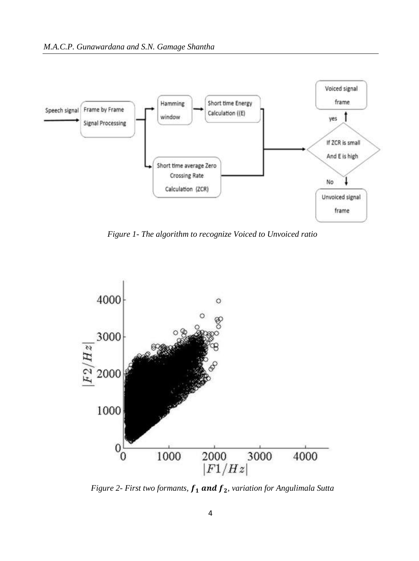

*Figure 1- The algorithm to recognize Voiced to Unvoiced ratio*



*Figure 2- First two formants,*  $f_1$  and  $f_2$ , variation for Angulimala Sutta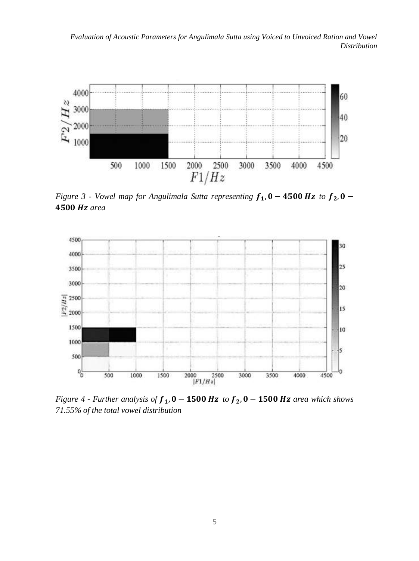*Evaluation of Acoustic Parameters for Angulimala Sutta using Voiced to Unvoiced Ration and Vowel Distribution* 



*Figure 3 - Vowel map for Angulimala Sutta representing*  $f_1$ ,  $0 - 4500$  Hz to  $f_2$ ,  $0 -$ *area*



*Figure 4 - Further analysis of*  $f_1$ ,  $0 - 1500$  Hz to  $f_2$ ,  $0 - 1500$  Hz area which shows *71.55% of the total vowel distribution*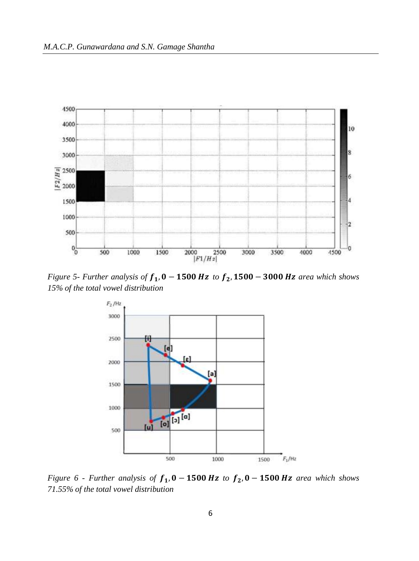

*Figure 5- Further analysis of*  $f_1$ ,  $0 - 1500$  *Hz to*  $f_2$ ,  $1500 - 3000$  *Hz area which shows 15% of the total vowel distribution*



*Figure 6 - Further analysis of*  $f_1$ ,  $0 - 1500$  Hz to  $f_2$ ,  $0 - 1500$  Hz area which shows *71.55% of the total vowel distribution*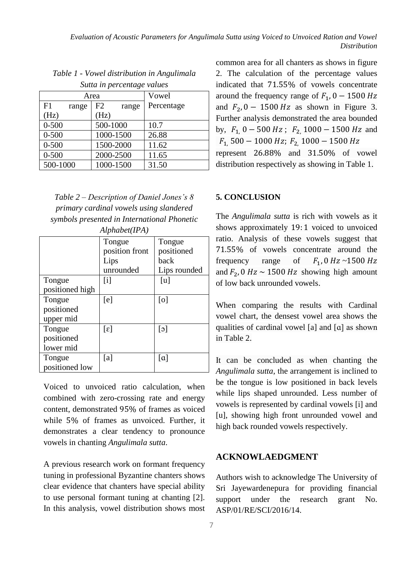*Evaluation of Acoustic Parameters for Angulimala Sutta using Voiced to Unvoiced Ration and Vowel Distribution* 

| suna in percentage values |             |            |  |
|---------------------------|-------------|------------|--|
| Area                      |             | Vowel      |  |
| F1<br>range               | F2<br>range | Percentage |  |
| (Hz)                      | (Hz)        |            |  |
| $0 - 500$                 | 500-1000    | 10.7       |  |
| $0 - 500$                 | 1000-1500   | 26.88      |  |
| $0 - 500$                 | 1500-2000   | 11.62      |  |
| $0 - 500$                 | 2000-2500   | 11.65      |  |
| 500-1000                  | 1000-1500   | 31.50      |  |

*Table 1 - Vowel distribution in Angulimala Sutta in percentage values*

| Table $2$ – Description of Daniel Jones's 8 |
|---------------------------------------------|
| primary cardinal vowels using slandered     |
| symbols presented in International Phonetic |
| Alphabet(IPA)                               |

|                 | Tongue                      | Tongue                 |
|-----------------|-----------------------------|------------------------|
|                 | position front              | positioned             |
|                 | Lips                        | back                   |
|                 | unrounded                   | Lips rounded           |
| Tongue          | $\lceil i \rceil$           | [u]                    |
| positioned high |                             |                        |
| Tongue          | [e]                         | [o]                    |
| positioned      |                             |                        |
| upper mid       |                             |                        |
| Tongue          | $\lceil \varepsilon \rceil$ | $\lceil c \rceil$      |
| positioned      |                             |                        |
| lower mid       |                             |                        |
| Tongue          | [a]                         | $\lceil \alpha \rceil$ |
| positioned low  |                             |                        |

Voiced to unvoiced ratio calculation, when combined with zero-crossing rate and energy content, demonstrated 95% of frames as voiced while 5% of frames as unvoiced. Further, it demonstrates a clear tendency to pronounce vowels in chanting *Angulimala sutta*.

A previous research work on formant frequency tuning in professional Byzantine chanters shows clear evidence that chanters have special ability to use personal formant tuning at chanting [2]. In this analysis, vowel distribution shows most common area for all chanters as shows in figure 2. The calculation of the percentage values indicated that 71.55% of vowels concentrate around the frequency range of  $F_1$ , 0 – 1500 Hz and  $F_2$ , 0 - 1500 Hz as shown in Figure 3. Further analysis demonstrated the area bounded by,  $F_1$ , 0 – 500 Hz;  $F_2$ , 1000 – 1500 Hz and  $F_1$ , 500 – 1000 Hz;  $F_2$ , 1000 – 1500 Hz represent 26.88% and 31.50% of vowel distribution respectively as showing in Table 1.

### **5. CONCLUSION**

The *Angulimala sutta* is rich with vowels as it shows approximately 19:1 voiced to unvoiced ratio. Analysis of these vowels suggest that 71.55% of vowels concentrate around the frequency range of  $F_1$ , 0 Hz ~1500 Hz and  $F_2$ , 0 Hz ~ 1500 Hz showing high amount of low back unrounded vowels.

When comparing the results with Cardinal vowel chart, the densest vowel area shows the qualities of cardinal vowel [a] and [ɑ] as shown in Table 2.

It can be concluded as when chanting the *Angulimala sutta*, the arrangement is inclined to be the tongue is low positioned in back levels while lips shaped unrounded. Less number of vowels is represented by cardinal vowels [i] and [u], showing high front unrounded vowel and high back rounded vowels respectively.

## **ACKNOWLAEDGMENT**

Authors wish to acknowledge The University of Sri Jayewardenepura for providing financial support under the research grant No. ASP/01/RE/SCI/2016/14.